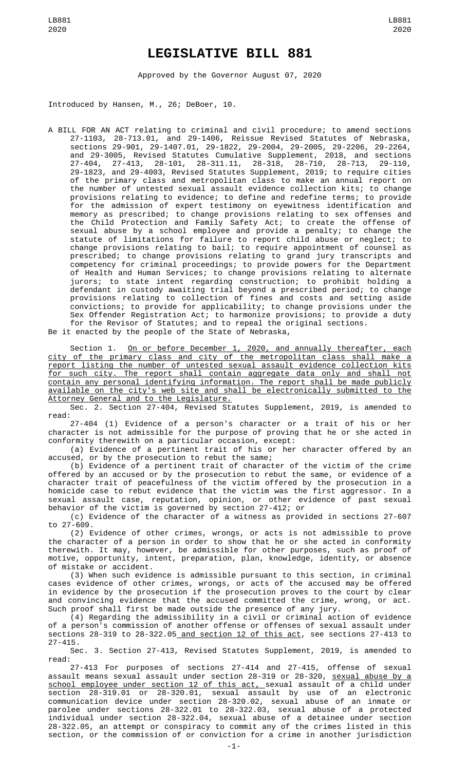## **LEGISLATIVE BILL 881**

Approved by the Governor August 07, 2020

Introduced by Hansen, M., 26; DeBoer, 10.

A BILL FOR AN ACT relating to criminal and civil procedure; to amend sections 27-1103, 28-713.01, and 29-1406, Reissue Revised Statutes of Nebraska, sections 29-901, 29-1407.01, 29-1822, 29-2004, 29-2005, 29-2206, 29-2264, and 29-3005, Revised Statutes Cumulative Supplement, 2018, and sections 27-404, 27-413, 28-101, 28-311.11, 28-318, 28-710, 28-713, 29-110, 29-1823, and 29-4003, Revised Statutes Supplement, 2019; to require cities of the primary class and metropolitan class to make an annual report on the number of untested sexual assault evidence collection kits; to change provisions relating to evidence; to define and redefine terms; to provide for the admission of expert testimony on eyewitness identification and memory as prescribed; to change provisions relating to sex offenses and the Child Protection and Family Safety Act; to create the offense of sexual abuse by a school employee and provide a penalty; to change the statute of limitations for failure to report child abuse or neglect; to change provisions relating to bail; to require appointment of counsel as prescribed; to change provisions relating to grand jury transcripts and competency for criminal proceedings; to provide powers for the Department of Health and Human Services; to change provisions relating to alternate jurors; to state intent regarding construction; to prohibit holding a defendant in custody awaiting trial beyond a prescribed period; to change provisions relating to collection of fines and costs and setting aside convictions; to provide for applicability; to change provisions under the Sex Offender Registration Act; to harmonize provisions; to provide a duty for the Revisor of Statutes; and to repeal the original sections.

Be it enacted by the people of the State of Nebraska,

Section 1. <u>On or before December 1, 2020, and annually thereafter, each</u> city of the primary class and city of the metropolitan class shall make a report listing the number of untested sexual assault evidence collection kits for such city. The report shall contain aggregate data only and shall not contain any personal identifying information. The report shall be made publicly available on the city's web site and shall be electronically submitted to the Attorney General and to the Legislature.

Sec. 2. Section 27-404, Revised Statutes Supplement, 2019, is amended to read:

27-404 (1) Evidence of a person's character or a trait of his or her character is not admissible for the purpose of proving that he or she acted in conformity therewith on a particular occasion, except:

(a) Evidence of a pertinent trait of his or her character offered by an accused, or by the prosecution to rebut the same;

(b) Evidence of a pertinent trait of character of the victim of the crime offered by an accused or by the prosecution to rebut the same, or evidence of a character trait of peacefulness of the victim offered by the prosecution in a homicide case to rebut evidence that the victim was the first aggressor. In a sexual assault case, reputation, opinion, or other evidence of past sexual behavior of the victim is governed by section 27-412; or

(c) Evidence of the character of a witness as provided in sections 27-607 to 27-609.

(2) Evidence of other crimes, wrongs, or acts is not admissible to prove the character of a person in order to show that he or she acted in conformity therewith. It may, however, be admissible for other purposes, such as proof of motive, opportunity, intent, preparation, plan, knowledge, identity, or absence of mistake or accident.

(3) When such evidence is admissible pursuant to this section, in criminal cases evidence of other crimes, wrongs, or acts of the accused may be offered in evidence by the prosecution if the prosecution proves to the court by clear and convincing evidence that the accused committed the crime, wrong, or act. Such proof shall first be made outside the presence of any jury.

(4) Regarding the admissibility in a civil or criminal action of evidence of a person's commission of another offense or offenses of sexual assault under sections 28-319 to 28-322.05 and section 12 of this act, see sections 27-413 to 27-415.

Sec. 3. Section 27-413, Revised Statutes Supplement, 2019, is amended to read:

27-413 For purposes of sections 27-414 and 27-415, offense of sexual assault means sexual assault under section 28-319 or 28-320, sexual abuse by a school employee under section 12 of this act, sexual assault of a child under section 28-319.01 or 28-320.01, sexual assault by use of an electronic communication device under section 28-320.02, sexual abuse of an inmate or parolee under sections 28-322.01 to 28-322.03, sexual abuse of a protected individual under section 28-322.04, sexual abuse of a detainee under section 28-322.05, an attempt or conspiracy to commit any of the crimes listed in this section, or the commission of or conviction for a crime in another jurisdiction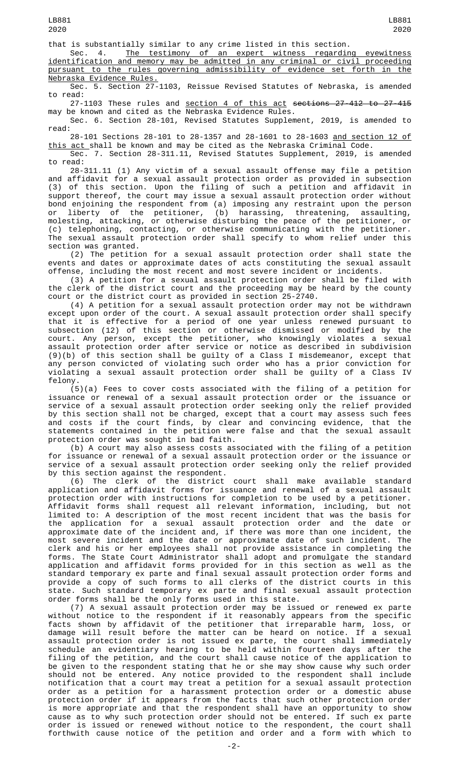that is substantially similar to any crime listed in this section.

Sec. 4. <u>The testimony of an expert witness regarding eyewitness</u> identification and memory may be admitted in any criminal or civil proceeding pursuant to the rules governing admissibility of evidence set forth in the Nebraska Evidence Rules.

Sec. 5. Section 27-1103, Reissue Revised Statutes of Nebraska, is amended to read:

27-1103 These rules and <u>section 4 of this act</u> <del>sections 27-412 to 27-415</del> may be known and cited as the Nebraska Evidence Rules.

Sec. 6. Section 28-101, Revised Statutes Supplement, 2019, is amended to read:

28-101 Sections 28-101 to 28-1357 and 28-1601 to 28-1603 and section 12 of <u>this act </u>shall be known and may be cited as the Nebraska Criminal Code.

Sec. 7. Section 28-311.11, Revised Statutes Supplement, 2019, is amended to read:

28-311.11 (1) Any victim of a sexual assault offense may file a petition and affidavit for a sexual assault protection order as provided in subsection (3) of this section. Upon the filing of such a petition and affidavit in support thereof, the court may issue a sexual assault protection order without bond enjoining the respondent from (a) imposing any restraint upon the person or liberty of the petitioner, (b) harassing, threatening, assaulting, molesting, attacking, or otherwise disturbing the peace of the petitioner, or (c) telephoning, contacting, or otherwise communicating with the petitioner. The sexual assault protection order shall specify to whom relief under this section was granted.

(2) The petition for a sexual assault protection order shall state the events and dates or approximate dates of acts constituting the sexual assault offense, including the most recent and most severe incident or incidents.

(3) A petition for a sexual assault protection order shall be filed with the clerk of the district court and the proceeding may be heard by the county court or the district court as provided in section 25-2740.

(4) A petition for a sexual assault protection order may not be withdrawn except upon order of the court. A sexual assault protection order shall specify that it is effective for a period of one year unless renewed pursuant to subsection (12) of this section or otherwise dismissed or modified by the court. Any person, except the petitioner, who knowingly violates a sexual assault protection order after service or notice as described in subdivision (9)(b) of this section shall be guilty of a Class I misdemeanor, except that any person convicted of violating such order who has a prior conviction for violating a sexual assault protection order shall be guilty of a Class IV felony.

(5)(a) Fees to cover costs associated with the filing of a petition for issuance or renewal of a sexual assault protection order or the issuance or service of a sexual assault protection order seeking only the relief provided by this section shall not be charged, except that a court may assess such fees and costs if the court finds, by clear and convincing evidence, that the statements contained in the petition were false and that the sexual assault protection order was sought in bad faith.

(b) A court may also assess costs associated with the filing of a petition for issuance or renewal of a sexual assault protection order or the issuance or service of a sexual assault protection order seeking only the relief provided by this section against the respondent.

(6) The clerk of the district court shall make available standard application and affidavit forms for issuance and renewal of a sexual assault protection order with instructions for completion to be used by a petitioner. Affidavit forms shall request all relevant information, including, but not limited to: A description of the most recent incident that was the basis for the application for a sexual assault protection order and the date or approximate date of the incident and, if there was more than one incident, the most severe incident and the date or approximate date of such incident. The clerk and his or her employees shall not provide assistance in completing the forms. The State Court Administrator shall adopt and promulgate the standard application and affidavit forms provided for in this section as well as the standard temporary ex parte and final sexual assault protection order forms and provide a copy of such forms to all clerks of the district courts in this state. Such standard temporary ex parte and final sexual assault protection order forms shall be the only forms used in this state.

(7) A sexual assault protection order may be issued or renewed ex parte without notice to the respondent if it reasonably appears from the specific facts shown by affidavit of the petitioner that irreparable harm, loss, or damage will result before the matter can be heard on notice. If a sexual assault protection order is not issued ex parte, the court shall immediately schedule an evidentiary hearing to be held within fourteen days after the filing of the petition, and the court shall cause notice of the application to be given to the respondent stating that he or she may show cause why such order should not be entered. Any notice provided to the respondent shall include notification that a court may treat a petition for a sexual assault protection order as a petition for a harassment protection order or a domestic abuse protection order if it appears from the facts that such other protection order is more appropriate and that the respondent shall have an opportunity to show cause as to why such protection order should not be entered. If such ex parte order is issued or renewed without notice to the respondent, the court shall forthwith cause notice of the petition and order and a form with which to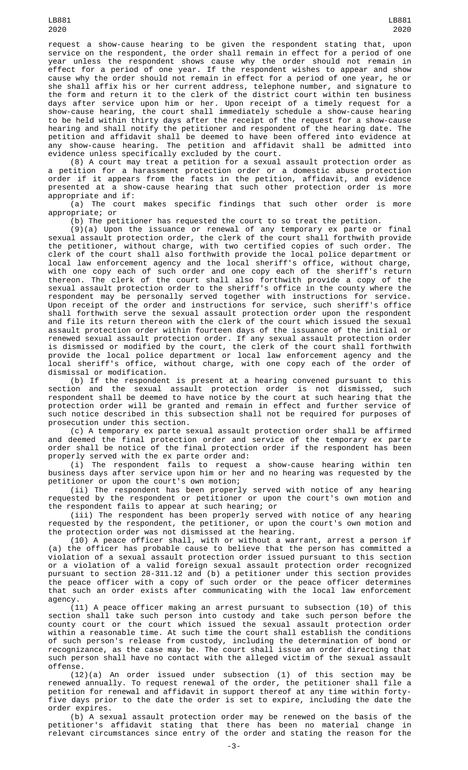request a show-cause hearing to be given the respondent stating that, upon service on the respondent, the order shall remain in effect for a period of one year unless the respondent shows cause why the order should not remain in effect for a period of one year. If the respondent wishes to appear and show cause why the order should not remain in effect for a period of one year, he or she shall affix his or her current address, telephone number, and signature to the form and return it to the clerk of the district court within ten business days after service upon him or her. Upon receipt of a timely request for a show-cause hearing, the court shall immediately schedule a show-cause hearing to be held within thirty days after the receipt of the request for a show-cause hearing and shall notify the petitioner and respondent of the hearing date. The petition and affidavit shall be deemed to have been offered into evidence at any show-cause hearing. The petition and affidavit shall be admitted into evidence unless specifically excluded by the court.

(8) A court may treat a petition for a sexual assault protection order as a petition for a harassment protection order or a domestic abuse protection order if it appears from the facts in the petition, affidavit, and evidence presented at a show-cause hearing that such other protection order is more appropriate and if:

(a) The court makes specific findings that such other order is more

appropriate; or<br>(b) The petitioner has requested the court to so treat the petition. (b) The petitioner has requested the court to so treat the petition.

(9)(a) Upon the issuance or renewal of any temporary ex parte or final sexual assault protection order, the clerk of the court shall forthwith provide the petitioner, without charge, with two certified copies of such order. The clerk of the court shall also forthwith provide the local police department or local law enforcement agency and the local sheriff's office, without charge, with one copy each of such order and one copy each of the sheriff's return thereon. The clerk of the court shall also forthwith provide a copy of the sexual assault protection order to the sheriff's office in the county where the respondent may be personally served together with instructions for service. Upon receipt of the order and instructions for service, such sheriff's office shall forthwith serve the sexual assault protection order upon the respondent and file its return thereon with the clerk of the court which issued the sexual assault protection order within fourteen days of the issuance of the initial or renewed sexual assault protection order. If any sexual assault protection order is dismissed or modified by the court, the clerk of the court shall forthwith provide the local police department or local law enforcement agency and the local sheriff's office, without charge, with one copy each of the order of dismissal or modification.

(b) If the respondent is present at a hearing convened pursuant to this section and the sexual assault protection order is not dismissed, such respondent shall be deemed to have notice by the court at such hearing that the protection order will be granted and remain in effect and further service of such notice described in this subsection shall not be required for purposes of prosecution under this section.

(c) A temporary ex parte sexual assault protection order shall be affirmed and deemed the final protection order and service of the temporary ex parte order shall be notice of the final protection order if the respondent has been properly served with the ex parte order and:

(i) The respondent fails to request a show-cause hearing within ten business days after service upon him or her and no hearing was requested by the petitioner or upon the court's own motion;

(ii) The respondent has been properly served with notice of any hearing requested by the respondent or petitioner or upon the court's own motion and the respondent fails to appear at such hearing; or

(iii) The respondent has been properly served with notice of any hearing requested by the respondent, the petitioner, or upon the court's own motion and the protection order was not dismissed at the hearing.

(10) A peace officer shall, with or without a warrant, arrest a person if (a) the officer has probable cause to believe that the person has committed a violation of a sexual assault protection order issued pursuant to this section or a violation of a valid foreign sexual assault protection order recognized pursuant to section 28-311.12 and (b) a petitioner under this section provides the peace officer with a copy of such order or the peace officer determines that such an order exists after communicating with the local law enforcement agency.

(11) A peace officer making an arrest pursuant to subsection (10) of this section shall take such person into custody and take such person before the county court or the court which issued the sexual assault protection order within a reasonable time. At such time the court shall establish the conditions of such person's release from custody, including the determination of bond or recognizance, as the case may be. The court shall issue an order directing that such person shall have no contact with the alleged victim of the sexual assault offense.

(12)(a) An order issued under subsection (1) of this section may be renewed annually. To request renewal of the order, the petitioner shall file a petition for renewal and affidavit in support thereof at any time within fortyfive days prior to the date the order is set to expire, including the date the order expires.

(b) A sexual assault protection order may be renewed on the basis of the petitioner's affidavit stating that there has been no material change in relevant circumstances since entry of the order and stating the reason for the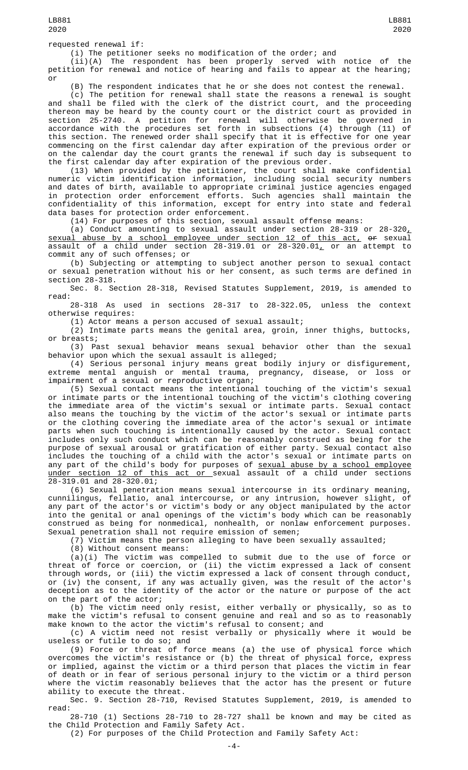(i) The petitioner seeks no modification of the order; and

(ii)(A) The respondent has been properly served with notice of the petition for renewal and notice of hearing and fails to appear at the hearing; or

(B) The respondent indicates that he or she does not contest the renewal.

(c) The petition for renewal shall state the reasons a renewal is sought and shall be filed with the clerk of the district court, and the proceeding thereon may be heard by the county court or the district court as provided in section 25-2740. A petition for renewal will otherwise be governed in accordance with the procedures set forth in subsections (4) through (11) of this section. The renewed order shall specify that it is effective for one year commencing on the first calendar day after expiration of the previous order or on the calendar day the court grants the renewal if such day is subsequent to the first calendar day after expiration of the previous order.

(13) When provided by the petitioner, the court shall make confidential numeric victim identification information, including social security numbers and dates of birth, available to appropriate criminal justice agencies engaged in protection order enforcement efforts. Such agencies shall maintain the confidentiality of this information, except for entry into state and federal data bases for protection order enforcement.

(14) For purposes of this section, sexual assault offense means:

(a) Conduct amounting to sexual assault under section 28-319 or 28-320 $_{\rm \star}$ sexual abuse by a school employee under section 12 of this act, or sexual assault of a child under section 28-319.01 or 28-320.01 $_{\rm \scriptscriptstyle L}$  or an attempt to commit any of such offenses; or

(b) Subjecting or attempting to subject another person to sexual contact or sexual penetration without his or her consent, as such terms are defined in section 28-318.

Sec. 8. Section 28-318, Revised Statutes Supplement, 2019, is amended to read:

28-318 As used in sections 28-317 to 28-322.05, unless the context otherwise requires:

(1) Actor means a person accused of sexual assault;

(2) Intimate parts means the genital area, groin, inner thighs, buttocks, or breasts;

(3) Past sexual behavior means sexual behavior other than the sexual behavior upon which the sexual assault is alleged;

(4) Serious personal injury means great bodily injury or disfigurement, extreme mental anguish or mental trauma, pregnancy, disease, or loss or impairment of a sexual or reproductive organ;

(5) Sexual contact means the intentional touching of the victim's sexual or intimate parts or the intentional touching of the victim's clothing covering the immediate area of the victim's sexual or intimate parts. Sexual contact also means the touching by the victim of the actor's sexual or intimate parts or the clothing covering the immediate area of the actor's sexual or intimate parts when such touching is intentionally caused by the actor. Sexual contact includes only such conduct which can be reasonably construed as being for the purpose of sexual arousal or gratification of either party. Sexual contact also includes the touching of a child with the actor's sexual or intimate parts on any part of the child's body for purposes of <u>sexual abuse by a school employee</u> under section 12 of this act or sexual assault of a child under sections 28-319.01 and 28-320.01;

(6) Sexual penetration means sexual intercourse in its ordinary meaning, cunnilingus, fellatio, anal intercourse, or any intrusion, however slight, of any part of the actor's or victim's body or any object manipulated by the actor into the genital or anal openings of the victim's body which can be reasonably construed as being for nonmedical, nonhealth, or nonlaw enforcement purposes. Sexual penetration shall not require emission of semen;

(7) Victim means the person alleging to have been sexually assaulted;

(8) Without consent means:

(a)(i) The victim was compelled to submit due to the use of force or threat of force or coercion, or (ii) the victim expressed a lack of consent through words, or (iii) the victim expressed a lack of consent through conduct, or (iv) the consent, if any was actually given, was the result of the actor's deception as to the identity of the actor or the nature or purpose of the act on the part of the actor;

(b) The victim need only resist, either verbally or physically, so as to make the victim's refusal to consent genuine and real and so as to reasonably make known to the actor the victim's refusal to consent; and

(c) A victim need not resist verbally or physically where it would be useless or futile to do so; and

(9) Force or threat of force means (a) the use of physical force which overcomes the victim's resistance or (b) the threat of physical force, express or implied, against the victim or a third person that places the victim in fear of death or in fear of serious personal injury to the victim or a third person where the victim reasonably believes that the actor has the present or future ability to execute the threat.

Sec. 9. Section 28-710, Revised Statutes Supplement, 2019, is amended to read:

28-710 (1) Sections 28-710 to 28-727 shall be known and may be cited as the Child Protection and Family Safety Act.

(2) For purposes of the Child Protection and Family Safety Act: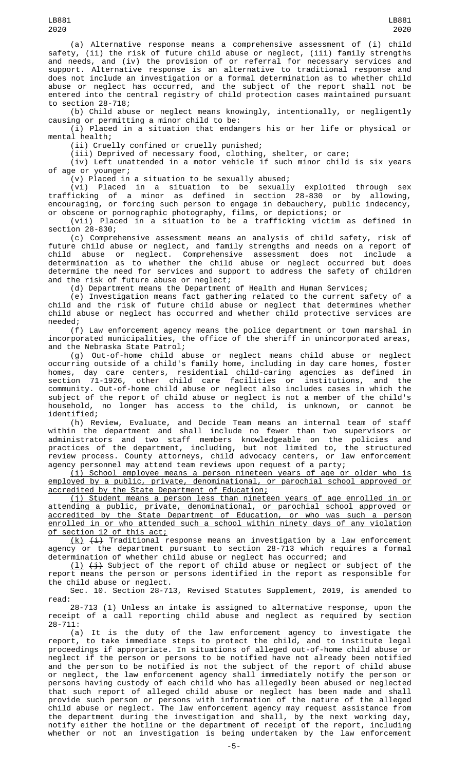(a) Alternative response means a comprehensive assessment of (i) child safety, (ii) the risk of future child abuse or neglect, (iii) family strengths and needs, and (iv) the provision of or referral for necessary services and support. Alternative response is an alternative to traditional response and does not include an investigation or a formal determination as to whether child abuse or neglect has occurred, and the subject of the report shall not be entered into the central registry of child protection cases maintained pursuant to section 28-718;

(b) Child abuse or neglect means knowingly, intentionally, or negligently causing or permitting a minor child to be:

(i) Placed in a situation that endangers his or her life or physical or mental health;

(ii) Cruelly confined or cruelly punished;

(iii) Deprived of necessary food, clothing, shelter, or care;

(iv) Left unattended in a motor vehicle if such minor child is six years of age or younger;

(v) Placed in a situation to be sexually abused;

(vi) Placed in a situation to be sexually exploited through sex trafficking of a minor as defined in section 28-830 or by allowing, encouraging, or forcing such person to engage in debauchery, public indecency, or obscene or pornographic photography, films, or depictions; or

(vii) Placed in a situation to be a trafficking victim as defined in section 28-830;

(c) Comprehensive assessment means an analysis of child safety, risk of future child abuse or neglect, and family strengths and needs on a report of child abuse or neglect. Comprehensive assessment does not include a determination as to whether the child abuse or neglect occurred but does determine the need for services and support to address the safety of children and the risk of future abuse or neglect;

(d) Department means the Department of Health and Human Services;

(e) Investigation means fact gathering related to the current safety of a child and the risk of future child abuse or neglect that determines whether child abuse or neglect has occurred and whether child protective services are needed;

(f) Law enforcement agency means the police department or town marshal in incorporated municipalities, the office of the sheriff in unincorporated areas, and the Nebraska State Patrol;

(g) Out-of-home child abuse or neglect means child abuse or neglect occurring outside of a child's family home, including in day care homes, foster homes, day care centers, residential child-caring agencies as defined in section 71-1926, other child care facilities or institutions, and the community. Out-of-home child abuse or neglect also includes cases in which the subject of the report of child abuse or neglect is not a member of the child's household, no longer has access to the child, is unknown, or cannot be identified;

(h) Review, Evaluate, and Decide Team means an internal team of staff within the department and shall include no fewer than two supervisors or administrators and two staff members knowledgeable on the policies and practices of the department, including, but not limited to, the structured review process. County attorneys, child advocacy centers, or law enforcement agency personnel may attend team reviews upon request of a party;

(i) School employee means a person nineteen years of age or older who is employed by a public, private, denominational, or parochial school approved or accredited by the State Department of Education;

(j) Student means a person less than nineteen years of age enrolled in or attending a public, private, denominational, or parochial school approved or accredited by the State Department of Education, or who was such a person enrolled in or who attended such a school within ninety days of any violation of section 12 of this act;

<u>(k)</u> <del>(i)</del> Traditional response means an investigation by a law enforcement agency or the department pursuant to section 28-713 which requires a formal determination of whether child abuse or neglect has occurred; and

 $(\underline{1})$   $(\underline{\cdot})$  Subject of the report of child abuse or neglect or subject of the report means the person or persons identified in the report as responsible for the child abuse or neglect.

Sec. 10. Section 28-713, Revised Statutes Supplement, 2019, is amended to read:

28-713 (1) Unless an intake is assigned to alternative response, upon the receipt of a call reporting child abuse and neglect as required by section 28-711:

(a) It is the duty of the law enforcement agency to investigate the report, to take immediate steps to protect the child, and to institute legal proceedings if appropriate. In situations of alleged out-of-home child abuse or neglect if the person or persons to be notified have not already been notified and the person to be notified is not the subject of the report of child abuse or neglect, the law enforcement agency shall immediately notify the person or persons having custody of each child who has allegedly been abused or neglected that such report of alleged child abuse or neglect has been made and shall provide such person or persons with information of the nature of the alleged child abuse or neglect. The law enforcement agency may request assistance from the department during the investigation and shall, by the next working day, notify either the hotline or the department of receipt of the report, including whether or not an investigation is being undertaken by the law enforcement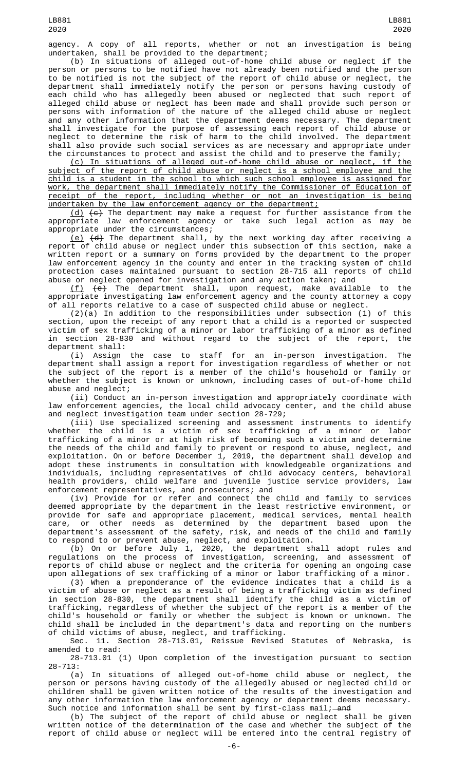agency. A copy of all reports, whether or not an investigation is being undertaken, shall be provided to the department;

(b) In situations of alleged out-of-home child abuse or neglect if the person or persons to be notified have not already been notified and the person to be notified is not the subject of the report of child abuse or neglect, the department shall immediately notify the person or persons having custody of each child who has allegedly been abused or neglected that such report of alleged child abuse or neglect has been made and shall provide such person or persons with information of the nature of the alleged child abuse or neglect and any other information that the department deems necessary. The department shall investigate for the purpose of assessing each report of child abuse or neglect to determine the risk of harm to the child involved. The department shall also provide such social services as are necessary and appropriate under the circumstances to protect and assist the child and to preserve the family;

(c) In situations of alleged out-of-home child abuse or neglect, if the subject of the report of child abuse or neglect is a school employee and the child is a student in the school to which such school employee is assigned for work, the department shall immediately notify the Commissioner of Education of receipt of the report, including whether or not an investigation is being undertaken by the law enforcement agency or the department;

<u>(d)</u>  $(\epsilon)$  The department may make a request for further assistance from the appropriate law enforcement agency or take such legal action as may be appropriate under the circumstances;

(e) (d) The department shall, by the next working day after receiving a report of child abuse or neglect under this subsection of this section, make a written report or a summary on forms provided by the department to the proper law enforcement agency in the county and enter in the tracking system of child protection cases maintained pursuant to section 28-715 all reports of child abuse or neglect opened for investigation and any action taken; and

(f) (e) The department shall, upon request, make available to the appropriate investigating law enforcement agency and the county attorney a copy of all reports relative to a case of suspected child abuse or neglect.

(2)(a) In addition to the responsibilities under subsection (1) of this section, upon the receipt of any report that a child is a reported or suspected victim of sex trafficking of a minor or labor trafficking of a minor as defined<br>in section 28-830 and without regard to the subject of the report, the in section 28-830 and without regard to the subject of the report, department shall:

(i) Assign the case to staff for an in-person investigation. The department shall assign a report for investigation regardless of whether or not the subject of the report is a member of the child's household or family or whether the subject is known or unknown, including cases of out-of-home child abuse and neglect;

(ii) Conduct an in-person investigation and appropriately coordinate with law enforcement agencies, the local child advocacy center, and the child abuse and neglect investigation team under section 28-729;

(iii) Use specialized screening and assessment instruments to identify whether the child is a victim of sex trafficking of a minor or labor trafficking of a minor or at high risk of becoming such a victim and determine the needs of the child and family to prevent or respond to abuse, neglect, and exploitation. On or before December 1, 2019, the department shall develop and adopt these instruments in consultation with knowledgeable organizations and individuals, including representatives of child advocacy centers, behavioral health providers, child welfare and juvenile justice service providers, law enforcement representatives, and prosecutors; and

(iv) Provide for or refer and connect the child and family to services deemed appropriate by the department in the least restrictive environment, or provide for safe and appropriate placement, medical services, mental health care, or other needs as determined by the department based upon the department's assessment of the safety, risk, and needs of the child and family to respond to or prevent abuse, neglect, and exploitation.

(b) On or before July 1, 2020, the department shall adopt rules and regulations on the process of investigation, screening, and assessment of reports of child abuse or neglect and the criteria for opening an ongoing case upon allegations of sex trafficking of a minor or labor trafficking of a minor.

(3) When a preponderance of the evidence indicates that a child is a victim of abuse or neglect as a result of being a trafficking victim as defined in section 28-830, the department shall identify the child as a victim of trafficking, regardless of whether the subject of the report is a member of the child's household or family or whether the subject is known or unknown. The child shall be included in the department's data and reporting on the numbers of child victims of abuse, neglect, and trafficking.

Sec. 11. Section 28-713.01, Reissue Revised Statutes of Nebraska, is amended to read:

28-713.01 (1) Upon completion of the investigation pursuant to section 28-713:

(a) In situations of alleged out-of-home child abuse or neglect, the person or persons having custody of the allegedly abused or neglected child or children shall be given written notice of the results of the investigation and any other information the law enforcement agency or department deems necessary. Such notice and information shall be sent by first-class mail;—<del>and</del>

(b) The subject of the report of child abuse or neglect shall be given written notice of the determination of the case and whether the subject of the report of child abuse or neglect will be entered into the central registry of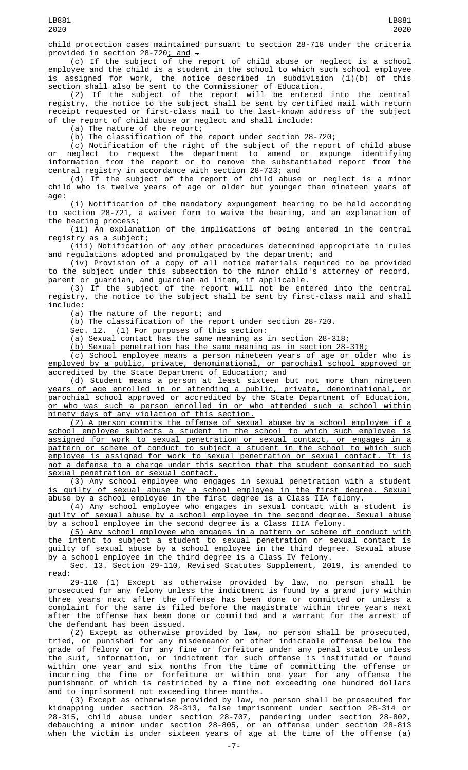child protection cases maintained pursuant to section 28-718 under the criteria provided in section 28-720<u>; and</u> —

(c) If the subject of the report of child abuse or neglect is a school employee and the child is a student in the school to which such school employee is assigned for work, the notice described in subdivision (1)(b) of this section shall also be sent to the Commissioner of Education.

(2) If the subject of the report will be entered into the central registry, the notice to the subject shall be sent by certified mail with return receipt requested or first-class mail to the last-known address of the subject of the report of child abuse or neglect and shall include:

(a) The nature of the report;

(b) The classification of the report under section 28-720;

(c) Notification of the right of the subject of the report of child abuse or neglect to request the department to amend or expunge identifying information from the report or to remove the substantiated report from the central registry in accordance with section 28-723; and

(d) If the subject of the report of child abuse or neglect is a minor child who is twelve years of age or older but younger than nineteen years of age:

(i) Notification of the mandatory expungement hearing to be held according to section 28-721, a waiver form to waive the hearing, and an explanation of the hearing process;

(ii) An explanation of the implications of being entered in the central registry as a subject;

(iii) Notification of any other procedures determined appropriate in rules and regulations adopted and promulgated by the department; and

(iv) Provision of a copy of all notice materials required to be provided to the subject under this subsection to the minor child's attorney of record, parent or guardian, and guardian ad litem, if applicable.

(3) If the subject of the report will not be entered into the central registry, the notice to the subject shall be sent by first-class mail and shall include:

(a) The nature of the report; and

(b) The classification of the report under section 28-720.

Sec. 12. (1) For purposes of this section:

(a) Sexual contact has the same meaning as in section 28-318;

(b) Sexual penetration has the same meaning as in section 28-318;

(c) School employee means a person nineteen years of age or older who is employed by a public, private, denominational, or parochial school approved or accredited by the State Department of Education; and

(d) Student means a person at least sixteen but not more than nineteen years of age enrolled in or attending a public, private, denominational, or parochial school approved or accredited by the State Department of Education, or who was such a person enrolled in or who attended such a school within ninety days of any violation of this section.

(2) A person commits the offense of sexual abuse by a school employee if a school employee subjects a student in the school to which such employee is assigned for work to sexual penetration or sexual contact, or engages in a pattern or scheme of conduct to subject a student in the school to which such employee is assigned for work to sexual penetration or sexual contact. It is not a defense to a charge under this section that the student consented to such sexual penetration or sexual contact.

(3) Any school employee who engages in sexual penetration with a student is guilty of sexual abuse by a school employee in the first degree. Sexual abuse by a school employee in the first degree is a Class IIA felony.

(4) Any school employee who engages in sexual contact with a student is guilty of sexual abuse by a school employee in the second degree. Sexual abuse by a school employee in the second degree is a Class IIIA felony.

(5) Any school employee who engages in a pattern or scheme of conduct with the intent to subject a student to sexual penetration or sexual contact is guilty of sexual abuse by a school employee in the third degree. Sexual abuse by a school employee in the third degree is a Class IV felony.

Sec. 13. Section 29-110, Revised Statutes Supplement, 2019, is amended to read:

29-110 (1) Except as otherwise provided by law, no person shall be prosecuted for any felony unless the indictment is found by a grand jury within three years next after the offense has been done or committed or unless a complaint for the same is filed before the magistrate within three years next after the offense has been done or committed and a warrant for the arrest of the defendant has been issued.

(2) Except as otherwise provided by law, no person shall be prosecuted, tried, or punished for any misdemeanor or other indictable offense below the grade of felony or for any fine or forfeiture under any penal statute unless the suit, information, or indictment for such offense is instituted or found within one year and six months from the time of committing the offense or incurring the fine or forfeiture or within one year for any offense the punishment of which is restricted by a fine not exceeding one hundred dollars and to imprisonment not exceeding three months.

(3) Except as otherwise provided by law, no person shall be prosecuted for kidnapping under section 28-313, false imprisonment under section 28-314 or 28-315, child abuse under section 28-707, pandering under section 28-802, debauching a minor under section 28-805, or an offense under section 28-813 when the victim is under sixteen years of age at the time of the offense (a)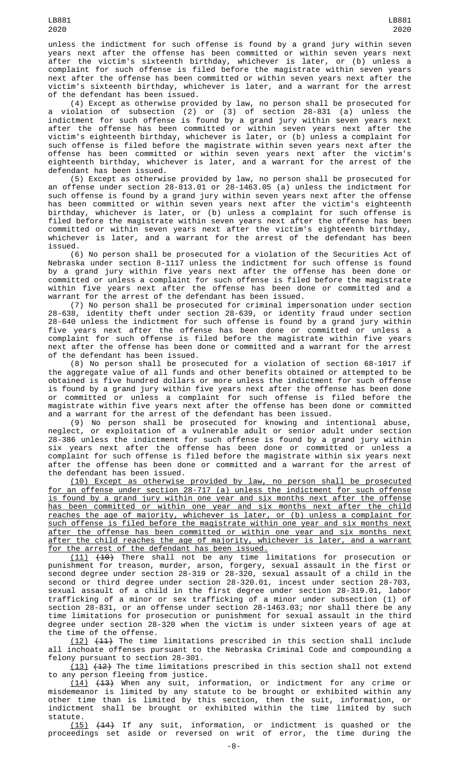unless the indictment for such offense is found by a grand jury within seven years next after the offense has been committed or within seven years next after the victim's sixteenth birthday, whichever is later, or (b) unless a complaint for such offense is filed before the magistrate within seven years next after the offense has been committed or within seven years next after the victim's sixteenth birthday, whichever is later, and a warrant for the arrest of the defendant has been issued.

(4) Except as otherwise provided by law, no person shall be prosecuted for a violation of subsection (2) or (3) of section 28-831 (a) unless the indictment for such offense is found by a grand jury within seven years next after the offense has been committed or within seven years next after the victim's eighteenth birthday, whichever is later, or (b) unless a complaint for such offense is filed before the magistrate within seven years next after the offense has been committed or within seven years next after the victim's eighteenth birthday, whichever is later, and a warrant for the arrest of the defendant has been issued.

(5) Except as otherwise provided by law, no person shall be prosecuted for an offense under section 28-813.01 or 28-1463.05 (a) unless the indictment for such offense is found by a grand jury within seven years next after the offense has been committed or within seven years next after the victim's eighteenth birthday, whichever is later, or (b) unless a complaint for such offense is filed before the magistrate within seven years next after the offense has been committed or within seven years next after the victim's eighteenth birthday, whichever is later, and a warrant for the arrest of the defendant has been issued.

(6) No person shall be prosecuted for a violation of the Securities Act of Nebraska under section 8-1117 unless the indictment for such offense is found by a grand jury within five years next after the offense has been done or committed or unless a complaint for such offense is filed before the magistrate within five years next after the offense has been done or committed and a warrant for the arrest of the defendant has been issued.

(7) No person shall be prosecuted for criminal impersonation under section 28-638, identity theft under section 28-639, or identity fraud under section 28-640 unless the indictment for such offense is found by a grand jury within five years next after the offense has been done or committed or unless a complaint for such offense is filed before the magistrate within five years next after the offense has been done or committed and a warrant for the arrest of the defendant has been issued.

(8) No person shall be prosecuted for a violation of section 68-1017 if the aggregate value of all funds and other benefits obtained or attempted to be obtained is five hundred dollars or more unless the indictment for such offense is found by a grand jury within five years next after the offense has been done or committed or unless a complaint for such offense is filed before the magistrate within five years next after the offense has been done or committed and a warrant for the arrest of the defendant has been issued.

(9) No person shall be prosecuted for knowing and intentional abuse, neglect, or exploitation of a vulnerable adult or senior adult under section 28-386 unless the indictment for such offense is found by a grand jury within six years next after the offense has been done or committed or unless a complaint for such offense is filed before the magistrate within six years next after the offense has been done or committed and a warrant for the arrest of the defendant has been issued.

(10) Except as otherwise provided by law, no person shall be prosecuted for an offense under section 28-717 (a) unless the indictment for such offense is found by a grand jury within one year and six months next after the offense has been committed or within one year and six months next after the child reaches the age of majority, whichever is later, or (b) unless a complaint for such offense is filed before the magistrate within one year and six months next after the offense has been committed or within one year and six months next after the child reaches the age of majority, whichever is later, and a warrant for the arrest of the defendant has been issued.

(11) (10) There shall not be any time limitations for prosecution or punishment for treason, murder, arson, forgery, sexual assault in the first or second degree under section 28-319 or 28-320, sexual assault of a child in the second or third degree under section 28-320.01, incest under section 28-703, sexual assault of a child in the first degree under section 28-319.01, labor trafficking of a minor or sex trafficking of a minor under subsection (1) of section 28-831, or an offense under section 28-1463.03; nor shall there be any time limitations for prosecution or punishment for sexual assault in the third degree under section 28-320 when the victim is under sixteen years of age at the time of the offense.

 $(12)$   $(11)$  The time limitations prescribed in this section shall include all inchoate offenses pursuant to the Nebraska Criminal Code and compounding a felony pursuant to section 28-301.

(13) (12) The time limitations prescribed in this section shall not extend any person fleeing from justice.

(14) (13) When any suit, information, or indictment for any crime or misdemeanor is limited by any statute to be brought or exhibited within any other time than is limited by this section, then the suit, information, or indictment shall be brought or exhibited within the time limited by such statute.

(15) (14) If any suit, information, or indictment is quashed or the proceedings set aside or reversed on writ of error, the time during the

LB881 2020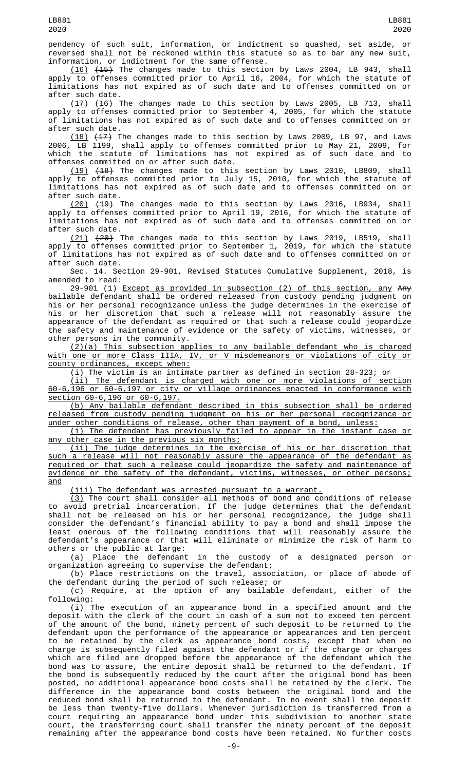LB881

reversed shall not be reckoned within this statute so as to bar any new suit, information, or indictment for the same offense.  $(16)$   $(45)$  The changes made to this section by Laws 2004, LB 943, shall

apply to offenses committed prior to April 16, 2004, for which the statute of limitations has not expired as of such date and to offenses committed on or after such date.

(17) (16) The changes made to this section by Laws 2005, LB 713, shall apply to offenses committed prior to September 4, 2005, for which the statute of limitations has not expired as of such date and to offenses committed on or after such date.

(18) (17) The changes made to this section by Laws 2009, LB 97, and Laws 2006, LB 1199, shall apply to offenses committed prior to May 21, 2009, for which the statute of limitations has not expired as of such date and to offenses committed on or after such date.

 $(19)$   $(18)$  The changes made to this section by Laws 2010, LB809, shall apply to offenses committed prior to July 15, 2010, for which the statute of limitations has not expired as of such date and to offenses committed on or after such date.

<u>(20)</u> <del>(19)</del> The changes made to this section by Laws 2016, LB934, shall apply to offenses committed prior to April 19, 2016, for which the statute of limitations has not expired as of such date and to offenses committed on or after such date.

 $(21)$   $(24)$  The changes made to this section by Laws 2019, LB519, shall apply to offenses committed prior to September 1, 2019, for which the statute of limitations has not expired as of such date and to offenses committed on or after such date.

Sec. 14. Section 29-901, Revised Statutes Cumulative Supplement, 2018, is amended to read:

29-901 (1) Except as provided in subsection (2) of this section, any Any bailable defendant shall be ordered released from custody pending judgment on his or her personal recognizance unless the judge determines in the exercise of his or her discretion that such a release will not reasonably assure the appearance of the defendant as required or that such a release could jeopardize the safety and maintenance of evidence or the safety of victims, witnesses, or other persons in the community.

(2)(a) This subsection applies to any bailable defendant who is charged with one or more Class IIIA, IV, or V misdemeanors or violations of city or county ordinances, except when:

(i) The victim is an intimate partner as defined in section 28-323; or

(ii) The defendant is charged with one or more violations of section 60-6,196 or 60-6,197 or city or village ordinances enacted in conformance with section 60-6,196 or 60-6,197.

(b) Any bailable defendant described in this subsection shall be ordered released from custody pending judgment on his or her personal recognizance or under other conditions of release, other than payment of a bond, unless:

(i) The defendant has previously failed to appear in the instant case or any other case in the previous six months;

(ii) The judge determines in the exercise of his or her discretion that such a release will not reasonably assure the appearance of the defendant as required or that such a release could jeopardize the safety and maintenance of evidence or the safety of the defendant, victims, witnesses, or other persons; and

(iii) The defendant was arrested pursuant to a warrant.

 $(3)$  The court shall consider all methods of bond and conditions of release to avoid pretrial incarceration. If the judge determines that the defendant shall not be released on his or her personal recognizance, the judge shall consider the defendant's financial ability to pay a bond and shall impose the least onerous of the following conditions that will reasonably assure the defendant's appearance or that will eliminate or minimize the risk of harm to others or the public at large:

(a) Place the defendant in the custody of a designated person or organization agreeing to supervise the defendant;

(b) Place restrictions on the travel, association, or place of abode of the defendant during the period of such release; or

(c) Require, at the option of any bailable defendant, either of the following:

(i) The execution of an appearance bond in a specified amount and the deposit with the clerk of the court in cash of a sum not to exceed ten percent of the amount of the bond, ninety percent of such deposit to be returned to the defendant upon the performance of the appearance or appearances and ten percent to be retained by the clerk as appearance bond costs, except that when no charge is subsequently filed against the defendant or if the charge or charges which are filed are dropped before the appearance of the defendant which the bond was to assure, the entire deposit shall be returned to the defendant. If the bond is subsequently reduced by the court after the original bond has been posted, no additional appearance bond costs shall be retained by the clerk. The difference in the appearance bond costs between the original bond and the reduced bond shall be returned to the defendant. In no event shall the deposit be less than twenty-five dollars. Whenever jurisdiction is transferred from a court requiring an appearance bond under this subdivision to another state court, the transferring court shall transfer the ninety percent of the deposit remaining after the appearance bond costs have been retained. No further costs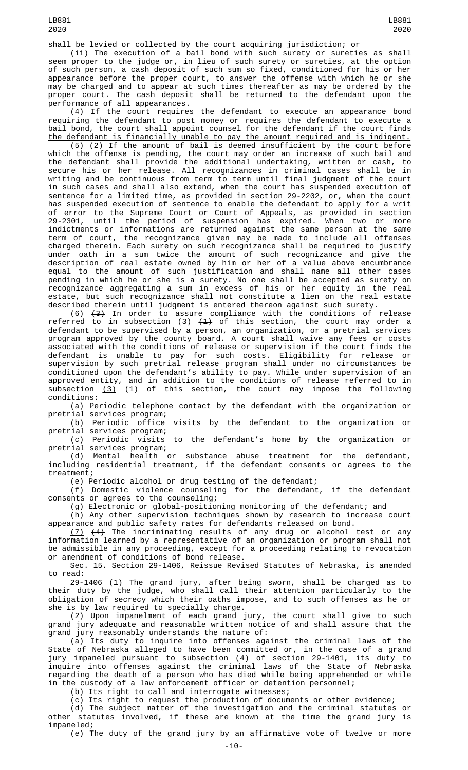(ii) The execution of a bail bond with such surety or sureties as shall seem proper to the judge or, in lieu of such surety or sureties, at the option of such person, a cash deposit of such sum so fixed, conditioned for his or her appearance before the proper court, to answer the offense with which he or she may be charged and to appear at such times thereafter as may be ordered by the proper court. The cash deposit shall be returned to the defendant upon the performance of all appearances.

(4) If the court requires the defendant to execute an appearance bond requiring the defendant to post money or requires the defendant to execute a bail bond, the court shall appoint counsel for the defendant if the court finds the defendant is financially unable to pay the amount required and is indigent.

 $(5)$   $(2)$  If the amount of bail is deemed insufficient by the court before which the offense is pending, the court may order an increase of such bail and the defendant shall provide the additional undertaking, written or cash, to secure his or her release. All recognizances in criminal cases shall be in writing and be continuous from term to term until final judgment of the court in such cases and shall also extend, when the court has suspended execution of sentence for a limited time, as provided in section 29-2202, or, when the court has suspended execution of sentence to enable the defendant to apply for a writ of error to the Supreme Court or Court of Appeals, as provided in section 29-2301, until the period of suspension has expired. When two or more indictments or informations are returned against the same person at the same term of court, the recognizance given may be made to include all offenses charged therein. Each surety on such recognizance shall be required to justify under oath in a sum twice the amount of such recognizance and give the description of real estate owned by him or her of a value above encumbrance equal to the amount of such justification and shall name all other cases pending in which he or she is a surety. No one shall be accepted as surety on recognizance aggregating a sum in excess of his or her equity in the real estate, but such recognizance shall not constitute a lien on the real estate described therein until judgment is entered thereon against such surety.

 $(6)$   $(3)$  In order to assure compliance with the conditions of release referred to in subsection <u>(3)</u>  $(1)$  of this section, the court may order a defendant to be supervised by a person, an organization, or a pretrial services program approved by the county board. A court shall waive any fees or costs associated with the conditions of release or supervision if the court finds the defendant is unable to pay for such costs. Eligibility for release or supervision by such pretrial release program shall under no circumstances be conditioned upon the defendant's ability to pay. While under supervision of an approved entity, and in addition to the conditions of release referred to in subsection <u>(3)</u>  $\left( \frac{1}{2} \right)$  of this section, the court may impose the following conditions:

(a) Periodic telephone contact by the defendant with the organization or pretrial services program;

(b) Periodic office visits by the defendant to the organization or pretrial services program;

(c) Periodic visits to the defendant's home by the organization or pretrial services program;

(d) Mental health or substance abuse treatment for the defendant, including residential treatment, if the defendant consents or agrees to the treatment;

(e) Periodic alcohol or drug testing of the defendant;

(f) Domestic violence counseling for the defendant, if the defendant consents or agrees to the counseling;

(g) Electronic or global-positioning monitoring of the defendant; and

(h) Any other supervision techniques shown by research to increase court appearance and public safety rates for defendants released on bond.

(7) (4) The incriminating results of any drug or alcohol test or any information learned by a representative of an organization or program shall not be admissible in any proceeding, except for a proceeding relating to revocation or amendment of conditions of bond release.

Sec. 15. Section 29-1406, Reissue Revised Statutes of Nebraska, is amended to read:

29-1406 (1) The grand jury, after being sworn, shall be charged as to their duty by the judge, who shall call their attention particularly to the obligation of secrecy which their oaths impose, and to such offenses as he or she is by law required to specially charge.

(2) Upon impanelment of each grand jury, the court shall give to such grand jury adequate and reasonable written notice of and shall assure that the grand jury reasonably understands the nature of:

(a) Its duty to inquire into offenses against the criminal laws of the State of Nebraska alleged to have been committed or, in the case of a grand jury impaneled pursuant to subsection (4) of section 29-1401, its duty to inquire into offenses against the criminal laws of the State of Nebraska regarding the death of a person who has died while being apprehended or while in the custody of a law enforcement officer or detention personnel;

(b) Its right to call and interrogate witnesses;

(c) Its right to request the production of documents or other evidence;

(d) The subject matter of the investigation and the criminal statutes or other statutes involved, if these are known at the time the grand jury is impaneled;

(e) The duty of the grand jury by an affirmative vote of twelve or more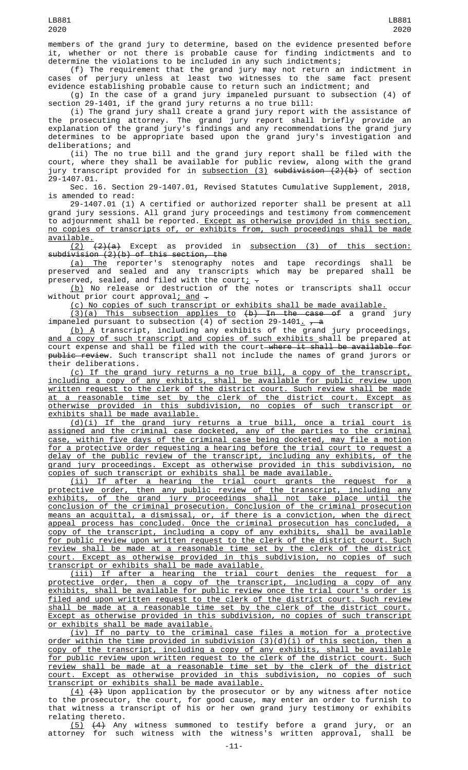members of the grand jury to determine, based on the evidence presented before it, whether or not there is probable cause for finding indictments and to determine the violations to be included in any such indictments;

(f) The requirement that the grand jury may not return an indictment in cases of perjury unless at least two witnesses to the same fact present evidence establishing probable cause to return such an indictment; and

(g) In the case of a grand jury impaneled pursuant to subsection (4) of section 29-1401, if the grand jury returns a no true bill:

(i) The grand jury shall create a grand jury report with the assistance of the prosecuting attorney. The grand jury report shall briefly provide an explanation of the grand jury's findings and any recommendations the grand jury determines to be appropriate based upon the grand jury's investigation and deliberations; and

(ii) The no true bill and the grand jury report shall be filed with the court, where they shall be available for public review, along with the grand jury transcript provided for in  $\frac{\text{subsection}}{3}$  subdivision  $\frac{2}{2}(b)$  of section 29-1407.01.

Sec. 16. Section 29-1407.01, Revised Statutes Cumulative Supplement, 2018, is amended to read:

29-1407.01 (1) A certified or authorized reporter shall be present at all grand jury sessions. All grand jury proceedings and testimony from commencement to adjournment shall be reported. Except as otherwise provided in this section, no copies of transcripts of, or exhibits from, such proceedings shall be made  $\frac{available.}{(2)}$ 

 $(2)(a)$  Except as provided in subsection (3) of this section:  $subdivision (2)(b) of this section, the$ 

(a) The reporter's stenography notes and tape recordings shall be preserved and sealed and any transcripts which may be prepared shall be preserved, sealed, and filed with the court<u>;</u>  $\textcolor{red}{\div}$ 

 $(\underline{\mathfrak{b}})$  No release or destruction of the notes or transcripts shall occur without prior court approval; and -

(c) No copies of such transcript or exhibits shall be made available.

(3)(a) This subsection applies to (b) In the case of a grand jury impaneled pursuant to subsection (4) of section 29-1401<u>.</u> <del>, a</del>

 $(b)$  A transcript, including any exhibits of the grand jury proceedings, and a copy of such transcript and copies of such exhibits shall be prepared at court expense and shall be filed with the court—<del>where it shall be available for</del> public review. Such transcript shall not include the names of grand jurors or their deliberations.

(c) If the grand jury returns a no true bill, a copy of the transcript, including a copy of any exhibits, shall be available for public review upon written request to the clerk of the district court. Such review shall be made at a reasonable time set by the clerk of the district court. Except as otherwise provided in this subdivision, no copies of such transcript or exhibits shall be made available.

(d)(i) If the grand jury returns a true bill, once a trial court is assigned and the criminal case docketed, any of the parties to the criminal case, within five days of the criminal case being docketed, may file a motion for a protective order requesting a hearing before the trial court to request a delay of the public review of the transcript, including any exhibits, of the grand jury proceedings. Except as otherwise provided in this subdivision, no copies of such transcript or exhibits shall be made available.

(ii) If after a hearing the trial court grants the request for a protective order, then any public review of the transcript, including any exhibits, of the grand jury proceedings shall not take place until the conclusion of the criminal prosecution. Conclusion of the criminal prosecution means an acquittal, a dismissal, or, if there is a conviction, when the direct appeal process has concluded. Once the criminal prosecution has concluded, a copy of the transcript, including a copy of any exhibits, shall be available for public review upon written request to the clerk of the district court. Such review shall be made at a reasonable time set by the clerk of the district court. Except as otherwise provided in this subdivision, no copies of such transcript or exhibits shall be made available.

(iii) If after a hearing the trial court denies the request for a protective order, then a copy of the transcript, including a copy of any exhibits, shall be available for public review once the trial court's order is filed and upon written request to the clerk of the district court. Such review shall be made at a reasonable time set by the clerk of the district court. Except as otherwise provided in this subdivision, no copies of such transcript or exhibits shall be made available.

(iv) If no party to the criminal case files a motion for a protective order within the time provided in subdivision (3)(d)(i) of this section, then a copy of the transcript, including a copy of any exhibits, shall be available for public review upon written request to the clerk of the district court. Such review shall be made at a reasonable time set by the clerk of the district court. Except as otherwise provided in this subdivision, no copies of such transcript or exhibits shall be made available.

 $(4)$   $(3)$  Upon application by the prosecutor or by any witness after notice to the prosecutor, the court, for good cause, may enter an order to furnish to that witness a transcript of his or her own grand jury testimony or exhibits relating thereto.

(5) (4) Any witness summoned to testify before a grand jury, or an attorney for such witness with the witness's written approval, shall be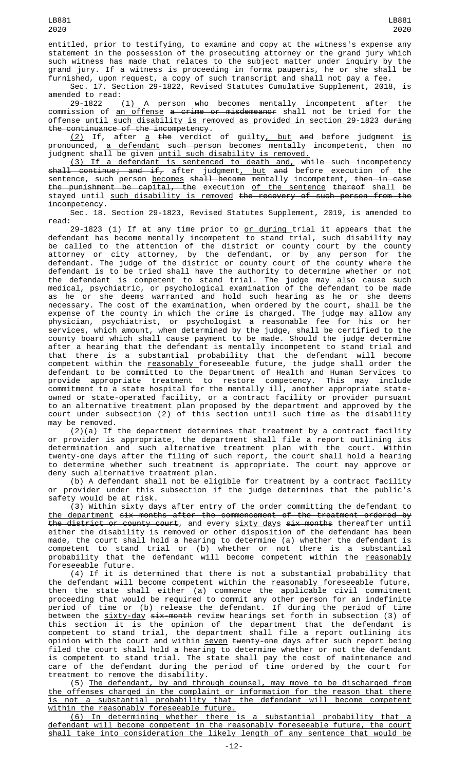LB881 2020

entitled, prior to testifying, to examine and copy at the witness's expense any statement in the possession of the prosecuting attorney or the grand jury which such witness has made that relates to the subject matter under inquiry by the grand jury. If a witness is proceeding in forma pauperis, he or she shall be furnished, upon request, a copy of such transcript and shall not pay a fee.

Sec. 17. Section 29-1822, Revised Statutes Cumulative Supplement, 2018, is amended to read:

29-1822 <u>(1) </u>A person who becomes mentally incompetent after the commission of <u>an offense</u> <del>a crime or misdemeanor</del> shall not be tried for the offense until such disability is removed as provided in section 29-1823 during the continuance of the incompetency.

<u>(2)</u> If, after <u>a</u> <del>the</del> verdict of guilty<u>, but</u> <del>and</del> before judgment <u>is</u> pronounced, a defendant such person becomes mentally incompetent, then no judgment shall be given until such disability is removed.

(3) If a defendant is sentenced to death and, while such incompetency sh<del>all continue; and if,</del> after judgment<u>, but</u> <del>and</del> before execution of the sentence, such person <u>becomes</u> <del>shall become</del> mentally incompetent, <del>then in case</del> the punishment be capital, the execution of the sentence thereof shall be stayed until such disability is removed the recovery of such person from the incompetency.

Sec. 18. Section 29-1823, Revised Statutes Supplement, 2019, is amended to read:

29-1823 (1) If at any time prior to <u>or during </u>trial it appears that the defendant has become mentally incompetent to stand trial, such disability may be called to the attention of the district or county court by the county attorney or city attorney, by the defendant, or by any person for the defendant. The judge of the district or county court of the county where the defendant is to be tried shall have the authority to determine whether or not the defendant is competent to stand trial. The judge may also cause such medical, psychiatric, or psychological examination of the defendant to be made as he or she deems warranted and hold such hearing as he or she deems necessary. The cost of the examination, when ordered by the court, shall be the expense of the county in which the crime is charged. The judge may allow any physician, psychiatrist, or psychologist a reasonable fee for his or her services, which amount, when determined by the judge, shall be certified to the county board which shall cause payment to be made. Should the judge determine after a hearing that the defendant is mentally incompetent to stand trial and that there is a substantial probability that the defendant will become competent within the <u>reasonably </u>foreseeable future, the judge shall order the defendant to be committed to the Department of Health and Human Services to provide appropriate treatment to restore competency. This may include commitment to a state hospital for the mentally ill, another appropriate stateowned or state-operated facility, or a contract facility or provider pursuant to an alternative treatment plan proposed by the department and approved by the court under subsection (2) of this section until such time as the disability may be removed.

(2)(a) If the department determines that treatment by a contract facility or provider is appropriate, the department shall file a report outlining its determination and such alternative treatment plan with the court. Within twenty-one days after the filing of such report, the court shall hold a hearing to determine whether such treatment is appropriate. The court may approve or deny such alternative treatment plan.

(b) A defendant shall not be eligible for treatment by a contract facility or provider under this subsection if the judge determines that the public's safety would be at risk.

(3) Within sixty days after entry of the order committing the defendant to the department six months after the commencement of the treatment ordered by the district or county court, and every sixty days six months thereafter until either the disability is removed or other disposition of the defendant has been made, the court shall hold a hearing to determine (a) whether the defendant is competent to stand trial or (b) whether or not there is a substantial probability that the defendant will become competent within the <u>reasonably</u> foreseeable future.

(4) If it is determined that there is not a substantial probability that the defendant will become competent within the reasonably foreseeable future, then the state shall either (a) commence the applicable civil commitment proceeding that would be required to commit any other person for an indefinite period of time or (b) release the defendant. If during the period of time between the <u>sixty-day</u> <del>six-month</del> review hearings set forth in subsection (3) of this section it is the opinion of the department that the defendant is competent to stand trial, the department shall file a report outlining its opinion with the court and within <u>seven</u> <del>twenty-one</del> days after such report being filed the court shall hold a hearing to determine whether or not the defendant is competent to stand trial. The state shall pay the cost of maintenance and care of the defendant during the period of time ordered by the court for treatment to remove the disability.

(5) The defendant, by and through counsel, may move to be discharged from the offenses charged in the complaint or information for the reason that there is not a substantial probability that the defendant will become competent within the reasonably foreseeable future.

(6) In determining whether there is a substantial probability that a defendant will become competent in the reasonably foreseeable future, the court shall take into consideration the likely length of any sentence that would be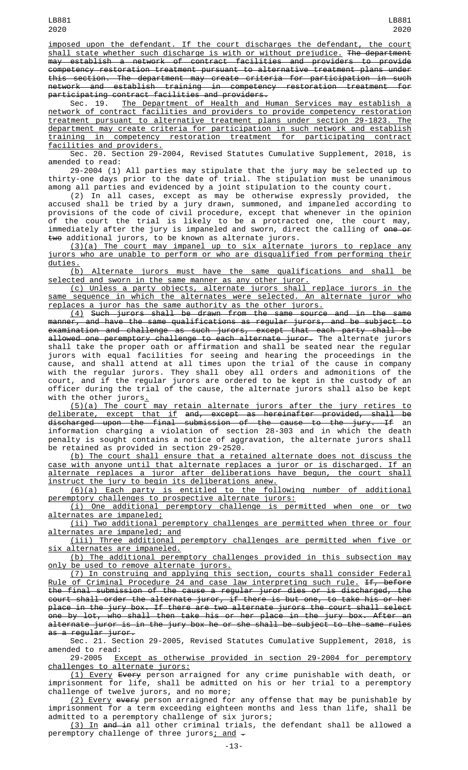imposed upon the defendant. If the court discharges the defendant, the court shall state whether such discharge is with or without prejudice. The department may establish a network of contract facilities and providers to provide competency restoration treatment pursuant to alternative treatment plans under this section. The department may create criteria for participation in such network and establish training in competency restoration treatment for participating contract facilities and providers.

Sec. 19. The Department of Health and Human Services may establish a network of contract facilities and providers to provide competency restoration treatment pursuant to alternative treatment plans under section 29-1823. The department may create criteria for participation in such network and establish training in competency restoration treatment for participating contract facilities and providers.

Sec. 20. Section 29-2004, Revised Statutes Cumulative Supplement, 2018, is amended to read:

29-2004 (1) All parties may stipulate that the jury may be selected up to thirty-one days prior to the date of trial. The stipulation must be unanimous among all parties and evidenced by a joint stipulation to the county court.

(2) In all cases, except as may be otherwise expressly provided, the accused shall be tried by a jury drawn, summoned, and impaneled according to provisions of the code of civil procedure, except that whenever in the opinion of the court the trial is likely to be a protracted one, the court may, immediately after the jury is impaneled and sworn, direct the calling of <del>one or</del> two additional jurors, to be known as alternate jurors.

(3)(a) The court may impanel up to six alternate jurors to replace any jurors who are unable to perform or who are disqualified from performing their duties.

(b) Alternate jurors must have the same qualifications and shall be selected and sworn in the same manner as any other juror.

(c) Unless a party objects, alternate jurors shall replace jurors in the same sequence in which the alternates were selected. An alternate juror who replaces a juror has the same authority as the other jurors.

(4) Such jurors shall be drawn from the same source and in the same manner, and have the same qualifications as regular jurors, and be subject to examination and challenge as such jurors, except that each party shall be allowed one peremptory challenge to each alternate juror. The alternate jurors shall take the proper oath or affirmation and shall be seated near the regular jurors with equal facilities for seeing and hearing the proceedings in the cause, and shall attend at all times upon the trial of the cause in company with the regular jurors. They shall obey all orders and admonitions of the court, and if the regular jurors are ordered to be kept in the custody of an officer during the trial of the cause, the alternate jurors shall also be kept with the other jurors.

(5)(a) The court may retain alternate jurors after the jury retires to deliberate, except that if and, except as hereinafter provided, shall be discharged upon the final submission of the cause to the jury. If an information charging a violation of section 28-303 and in which the death penalty is sought contains a notice of aggravation, the alternate jurors shall be retained as provided in section 29-2520.

(b) The court shall ensure that a retained alternate does not discuss the case with anyone until that alternate replaces a juror or is discharged. If an alternate replaces a juror after deliberations have begun, the court shall instruct the jury to begin its deliberations anew.

(6)(a) Each party is entitled to the following number of additional peremptory challenges to prospective alternate jurors:

(i) One additional peremptory challenge is permitted when one or two alternates are impaneled;

(ii) Two additional peremptory challenges are permitted when three or four alternates are impaneled; and

(iii) Three additional peremptory challenges are permitted when five or six alternates are impaneled.

(b) The additional peremptory challenges provided in this subsection may only be used to remove alternate jurors.

(7) In construing and applying this section, courts shall consider Federal Rule of Criminal Procedure 24 and case law interpreting such rule. If, before the final submission of the cause a regular juror dies or is discharged, the court shall order the alternate juror, if there is but one, to take his or her place in the jury box. If there are two alternate jurors the court shall select one by lot, who shall then take his or her place in the jury box. After an alternate juror is in the jury box he or she shall be subject to the same rules as a regular juror.

Sec. 21. Section 29-2005, Revised Statutes Cumulative Supplement, 2018, is amended to read:

29-2005 Except as otherwise provided in section 29-2004 for peremptory challenges to alternate jurors:

(1) Every Every person arraigned for any crime punishable with death, or imprisonment for life, shall be admitted on his or her trial to a peremptory challenge of twelve jurors, and no more;

(2) Every every person arraigned for any offense that may be punishable by imprisonment for a term exceeding eighteen months and less than life, shall be admitted to a peremptory challenge of six jurors;

<u>(3) In</u> <del>and in</del> all other criminal trials, the defendant shall be allowed a peremptory challenge of three jurors<u>; and</u>  $\texttt{-}$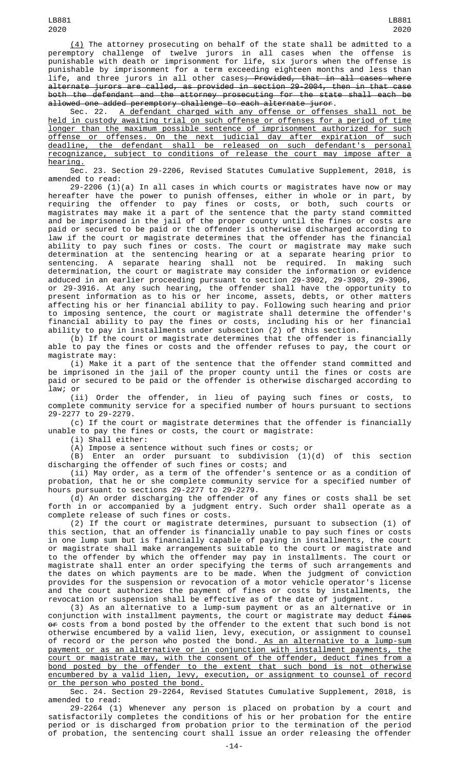(4) The attorney prosecuting on behalf of the state shall be admitted to a peremptory challenge of twelve jurors in all cases when the offense is punishable with death or imprisonment for life, six jurors when the offense is punishable by imprisonment for a term exceeding eighteen months and less than life, and three jurors in all other cases<del>; Provided, that in all cases where</del> alternate jurors are called, as provided in section 29-2004, then in that case both the defendant and the attorney prosecuting for the state shall each be allowed one added peremptory challenge to each alternate juror.

Sec. 22. <u>A defendant charged with any offense or offenses shall not be</u> held in custody awaiting trial on such offense or offenses for a period of time longer than the maximum possible sentence of imprisonment authorized for such offense or offenses. On the next judicial day after expiration of such deadline, the defendant shall be released on such defendant's personal recognizance, subject to conditions of release the court may impose after a hearing.

Sec. 23. Section 29-2206, Revised Statutes Cumulative Supplement, 2018, is amended to read:

29-2206 (1)(a) In all cases in which courts or magistrates have now or may hereafter have the power to punish offenses, either in whole or in part, by requiring the offender to pay fines or costs, or both, such courts or magistrates may make it a part of the sentence that the party stand committed and be imprisoned in the jail of the proper county until the fines or costs are paid or secured to be paid or the offender is otherwise discharged according to law if the court or magistrate determines that the offender has the financial ability to pay such fines or costs. The court or magistrate may make such determination at the sentencing hearing or at a separate hearing prior to sentencing. A separate hearing shall not be required. In making such determination, the court or magistrate may consider the information or evidence adduced in an earlier proceeding pursuant to section 29-3902, 29-3903, 29-3906, or 29-3916. At any such hearing, the offender shall have the opportunity to present information as to his or her income, assets, debts, or other matters affecting his or her financial ability to pay. Following such hearing and prior to imposing sentence, the court or magistrate shall determine the offender's financial ability to pay the fines or costs, including his or her financial ability to pay in installments under subsection (2) of this section.

(b) If the court or magistrate determines that the offender is financially able to pay the fines or costs and the offender refuses to pay, the court or magistrate may:

(i) Make it a part of the sentence that the offender stand committed and be imprisoned in the jail of the proper county until the fines or costs are paid or secured to be paid or the offender is otherwise discharged according to law; or

(ii) Order the offender, in lieu of paying such fines or costs, to complete community service for a specified number of hours pursuant to sections 29-2277 to 29-2279.

(c) If the court or magistrate determines that the offender is financially unable to pay the fines or costs, the court or magistrate:

(i) Shall either:

(A) Impose a sentence without such fines or costs; or<br>(B) Enter an order pursuant to subdivision  $(1)(d)$  of this section (B) Enter an order pursuant to subdivision (1)(d) of this section discharging the offender of such fines or costs; and

(ii) May order, as a term of the offender's sentence or as a condition of probation, that he or she complete community service for a specified number of hours pursuant to sections 29-2277 to 29-2279.

(d) An order discharging the offender of any fines or costs shall be set forth in or accompanied by a judgment entry. Such order shall operate as a complete release of such fines or costs.

(2) If the court or magistrate determines, pursuant to subsection (1) of this section, that an offender is financially unable to pay such fines or costs in one lump sum but is financially capable of paying in installments, the court or magistrate shall make arrangements suitable to the court or magistrate and to the offender by which the offender may pay in installments. The court or magistrate shall enter an order specifying the terms of such arrangements and the dates on which payments are to be made. When the judgment of conviction provides for the suspension or revocation of a motor vehicle operator's license and the court authorizes the payment of fines or costs by installments, the revocation or suspension shall be effective as of the date of judgment.

(3) As an alternative to a lump-sum payment or as an alternative or in conjunction with installment payments, the court or magistrate may deduct fines or costs from a bond posted by the offender to the extent that such bond is not otherwise encumbered by a valid lien, levy, execution, or assignment to counsel of record or the person who posted the bond.<u> As an alternative to a lump-sum</u> payment or as an alternative or in conjunction with installment payments, the court or magistrate may, with the consent of the offender, deduct fines from a bond posted by the offender to the extent that such bond is not otherwise encumbered by a valid lien, levy, execution, or assignment to counsel of record or the person who posted the bond.

Sec. 24. Section 29-2264, Revised Statutes Cumulative Supplement, 2018, is amended to read:

29-2264 (1) Whenever any person is placed on probation by a court and satisfactorily completes the conditions of his or her probation for the entire period or is discharged from probation prior to the termination of the period of probation, the sentencing court shall issue an order releasing the offender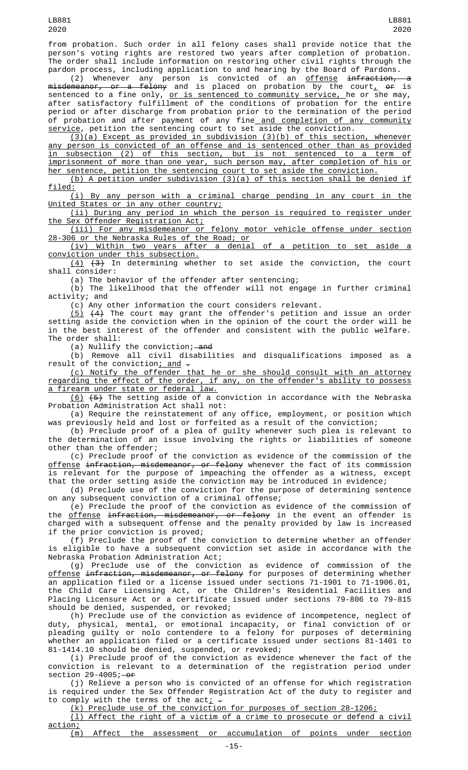from probation. Such order in all felony cases shall provide notice that the person's voting rights are restored two years after completion of probation. The order shall include information on restoring other civil rights through the pardon process, including application to and hearing by the Board of Pardons.

(2) Whenever any person is convicted of an <u>offense</u> <del>infraction, a</del> m<del>isdemeanor, or a felony</del> and is placed on probation by the court<u>,</u> <del>or</del> is sentenced to a fine only, <u>or is sentenced to community service, </u>he or she may, after satisfactory fulfillment of the conditions of probation for the entire period or after discharge from probation prior to the termination of the period of probation and after payment of any fine<u> and completion of any community</u> service, petition the sentencing court to set aside the conviction.

(3)(a) Except as provided in subdivision (3)(b) of this section, whenever any person is convicted of an offense and is sentenced other than as provided in subsection (2) of this section, but is not sentenced to a term of imprisonment of more than one year, such person may, after completion of his or her sentence, petition the sentencing court to set aside the conviction.

(b) A petition under subdivision (3)(a) of this section shall be denied if  $\frac{\text{filed:}}{(\text{i})}$ 

(i) By any person with a criminal charge pending in any court in the United States or in any other country;

(ii) During any period in which the person is required to register under the Sex Offender Registration Act;

(iii) For any misdemeanor or felony motor vehicle offense under section 28-306 or the Nebraska Rules of the Road; or

(iv) Within two years after a denial of a petition to set aside a conviction under this subsection.

 $(4)$   $(3)$  In determining whether to set aside the conviction, the court shall consider:

(a) The behavior of the offender after sentencing;

(b) The likelihood that the offender will not engage in further criminal activity; and

(c) Any other information the court considers relevant.

 $(5)$   $(4)$  The court may grant the offender's petition and issue an order setting aside the conviction when in the opinion of the court the order will be in the best interest of the offender and consistent with the public welfare. The order shall:

(a) Nullify the conviction; and

(b) Remove all civil disabilities and disqualifications imposed as a result of the conviction<u>; and</u>  $\hbox{-}$ 

(c) Notify the offender that he or she should consult with an attorney regarding the effect of the order, if any, on the offender's ability to possess a firearm under state or federal law.

(6) (5) The setting aside of a conviction in accordance with the Nebraska Probation Administration Act shall not:

(a) Require the reinstatement of any office, employment, or position which was previously held and lost or forfeited as a result of the conviction;

(b) Preclude proof of a plea of guilty whenever such plea is relevant to the determination of an issue involving the rights or liabilities of someone other than the offender;

(c) Preclude proof of the conviction as evidence of the commission of the <u>offense</u> i<del>nfraction, misdemeanor, or felony</del> whenever the fact of its commission is relevant for the purpose of impeaching the offender as a witness, except that the order setting aside the conviction may be introduced in evidence;

(d) Preclude use of the conviction for the purpose of determining sentence on any subsequent conviction of a criminal offense;

(e) Preclude the proof of the conviction as evidence of the commission of the offense infraction, misdemeanor, or felony in the event an offender is charged with a subsequent offense and the penalty provided by law is increased if the prior conviction is proved;

(f) Preclude the proof of the conviction to determine whether an offender is eligible to have a subsequent conviction set aside in accordance with the Nebraska Probation Administration Act;

(g) Preclude use of the conviction as evidence of commission of the <u>offense</u> <del>infraction, misdemeanor, or felony</del> for purposes of determining whether an application filed or a license issued under sections 71-1901 to 71-1906.01, the Child Care Licensing Act, or the Children's Residential Facilities and Placing Licensure Act or a certificate issued under sections 79-806 to 79-815 should be denied, suspended, or revoked;

(h) Preclude use of the conviction as evidence of incompetence, neglect of duty, physical, mental, or emotional incapacity, or final conviction of or pleading guilty or nolo contendere to a felony for purposes of determining whether an application filed or a certificate issued under sections 81-1401 to 81-1414.10 should be denied, suspended, or revoked;

(i) Preclude proof of the conviction as evidence whenever the fact of the conviction is relevant to a determination of the registration period under section  $29-4005$ ; $-0f$ 

(j) Relieve a person who is convicted of an offense for which registration is required under the Sex Offender Registration Act of the duty to register and to comply with the terms of the act $\frac{1}{L}$  -

(k) Preclude use of the conviction for purposes of section 28-1206; (l) Affect the right of a victim of a crime to prosecute or defend a civil

<u>action;</u>

(m) Affect the assessment or accumulation of points under section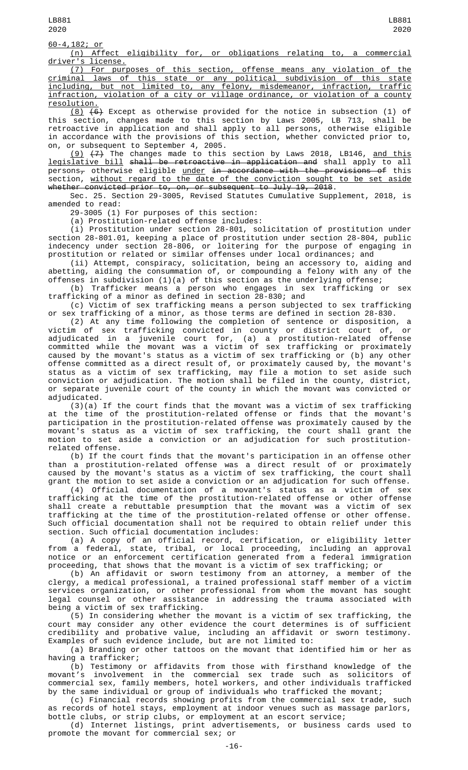60-4,182; or

(n) Affect eligibility for, or obligations relating to, a commercial driver's license.

(7) For purposes of this section, offense means any violation of the criminal laws of this state or any political subdivision of this state including, but not limited to, any felony, misdemeanor, infraction, traffic infraction, violation of a city or village ordinance, or violation of a county resolution.

 $(8)$   $(6)$  Except as otherwise provided for the notice in subsection (1) of this section, changes made to this section by Laws 2005, LB 713, shall be retroactive in application and shall apply to all persons, otherwise eligible in accordance with the provisions of this section, whether convicted prior to, on, or subsequent to September 4, 2005.

<u>(9)</u> <del>(7)</del> The changes made to this section by Laws 2018, LB146, <u>and this</u> legislative bill shall be retroactive in application and shall apply to all  $person<sub>\tau</sub>$  otherwise eligible <u>under</u> in accordance with the provisions of this section, without regard to the date of the conviction sought to be set aside whether convicted prior to, on, or subsequent to July 19, 2018.

Sec. 25. Section 29-3005, Revised Statutes Cumulative Supplement, 2018, is amended to read:

29-3005 (1) For purposes of this section:

(a) Prostitution-related offense includes:

(i) Prostitution under section 28-801, solicitation of prostitution under section 28-801.01, keeping a place of prostitution under section 28-804, public indecency under section 28-806, or loitering for the purpose of engaging in prostitution or related or similar offenses under local ordinances; and

(ii) Attempt, conspiracy, solicitation, being an accessory to, aiding and abetting, aiding the consummation of, or compounding a felony with any of the offenses in subdivision (1)(a) of this section as the underlying offense;

(b) Trafficker means a person who engages in sex trafficking or sex trafficking of a minor as defined in section 28-830; and

(c) Victim of sex trafficking means a person subjected to sex trafficking or sex trafficking of a minor, as those terms are defined in section 28-830.

(2) At any time following the completion of sentence or disposition, a victim of sex trafficking convicted in county or district court of, or adjudicated in a juvenile court for, (a) a prostitution-related offense committed while the movant was a victim of sex trafficking or proximately caused by the movant's status as a victim of sex trafficking or (b) any other offense committed as a direct result of, or proximately caused by, the movant's status as a victim of sex trafficking, may file a motion to set aside such conviction or adjudication. The motion shall be filed in the county, district, or separate juvenile court of the county in which the movant was convicted or adjudicated.

(3)(a) If the court finds that the movant was a victim of sex trafficking at the time of the prostitution-related offense or finds that the movant's participation in the prostitution-related offense was proximately caused by the movant's status as a victim of sex trafficking, the court shall grant the motion to set aside a conviction or an adjudication for such prostitutionrelated offense.

(b) If the court finds that the movant's participation in an offense other than a prostitution-related offense was a direct result of or proximately caused by the movant's status as a victim of sex trafficking, the court shall grant the motion to set aside a conviction or an adjudication for such offense.

(4) Official documentation of a movant's status as a victim of sex trafficking at the time of the prostitution-related offense or other offense shall create a rebuttable presumption that the movant was a victim of sex trafficking at the time of the prostitution-related offense or other offense. Such official documentation shall not be required to obtain relief under this section. Such official documentation includes:

(a) A copy of an official record, certification, or eligibility letter from a federal, state, tribal, or local proceeding, including an approval notice or an enforcement certification generated from a federal immigration proceeding, that shows that the movant is a victim of sex trafficking; or

(b) An affidavit or sworn testimony from an attorney, a member of the clergy, a medical professional, a trained professional staff member of a victim services organization, or other professional from whom the movant has sought legal counsel or other assistance in addressing the trauma associated with being a victim of sex trafficking.

(5) In considering whether the movant is a victim of sex trafficking, the court may consider any other evidence the court determines is of sufficient credibility and probative value, including an affidavit or sworn testimony. Examples of such evidence include, but are not limited to:

(a) Branding or other tattoos on the movant that identified him or her as having a trafficker;

(b) Testimony or affidavits from those with firsthand knowledge of the movant's involvement in the commercial sex trade such as solicitors of commercial sex, family members, hotel workers, and other individuals trafficked by the same individual or group of individuals who trafficked the movant;

(c) Financial records showing profits from the commercial sex trade, such as records of hotel stays, employment at indoor venues such as massage parlors, bottle clubs, or strip clubs, or employment at an escort service;

(d) Internet listings, print advertisements, or business cards used to promote the movant for commercial sex; or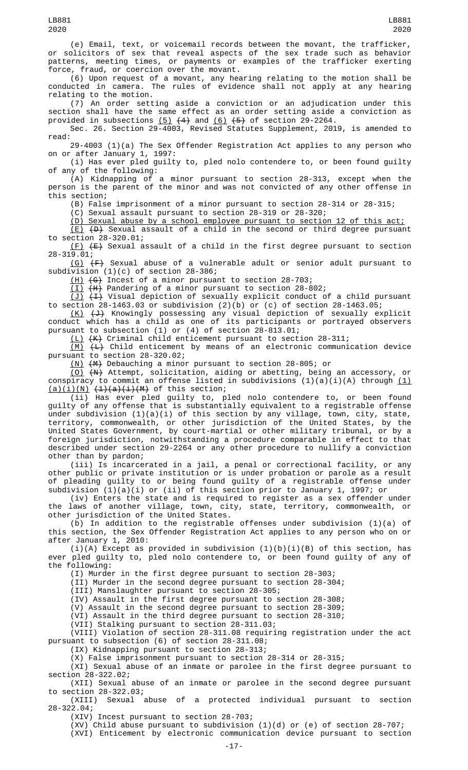(e) Email, text, or voicemail records between the movant, the trafficker, or solicitors of sex that reveal aspects of the sex trade such as behavior patterns, meeting times, or payments or examples of the trafficker exerting force, fraud, or coercion over the movant.

(6) Upon request of a movant, any hearing relating to the motion shall be conducted in camera. The rules of evidence shall not apply at any hearing relating to the motion.

(7) An order setting aside a conviction or an adjudication under this section shall have the same effect as an order setting aside a conviction as provided in subsections  $(5)$   $(4)$  and  $(6)$   $(5)$  of section 29-2264.

Sec. 26. Section 29-4003, Revised Statutes Supplement, 2019, is amended to read:

29-4003 (1)(a) The Sex Offender Registration Act applies to any person who on or after January 1, 1997:

(i) Has ever pled guilty to, pled nolo contendere to, or been found guilty of any of the following:

(A) Kidnapping of a minor pursuant to section 28-313, except when the person is the parent of the minor and was not convicted of any other offense in this section;

(B) False imprisonment of a minor pursuant to section 28-314 or 28-315;

(C) Sexual assault pursuant to section 28-319 or 28-320;

(D) Sexual abuse by a school employee pursuant to section 12 of this act;

(E) (D) Sexual assault of a child in the second or third degree pursuant to section 28-320.01;

 $(F)$   $(F)$  Sexual assault of a child in the first degree pursuant to section 28-319.01;

(G)  $(F)$  Sexual abuse of a vulnerable adult or senior adult pursuant to subdivision (1)(c) of section 28-386;

(H) (G) Incest of a minor pursuant to section 28-703;

(I) (H) Pandering of a minor pursuant to section 28-802;

(J) (I) Visual depiction of sexually explicit conduct of a child pursuant to section 28-1463.03 or subdivision (2)(b) or (c) of section 28-1463.05;

(K) (J) Knowingly possessing any visual depiction of sexually explicit conduct which has a child as one of its participants or portrayed observers pursuant to subsection (1) or (4) of section 28-813.01;

(L) (K) Criminal child enticement pursuant to section 28-311;

 $(M)$   $(H)$  Child enticement by means of an electronic communication device pursuant to section 28-320.02;

(N) (M) Debauching a minor pursuant to section 28-805; or

(O) (N) Attempt, solicitation, aiding or abetting, being an accessory, or conspiracy to commit an offense listed in subdivisions (1)(a)(i)(A) through <u>(1)</u>  $(a)(i)(N)$   $(1)(a)(i)(M)$  of this section;

(ii) Has ever pled guilty to, pled nolo contendere to, or been found guilty of any offense that is substantially equivalent to a registrable offense under subdivision (1)(a)(i) of this section by any village, town, city, state, territory, commonwealth, or other jurisdiction of the United States, by the United States Government, by court-martial or other military tribunal, or by a foreign jurisdiction, notwithstanding a procedure comparable in effect to that described under section 29-2264 or any other procedure to nullify a conviction other than by pardon;

(iii) Is incarcerated in a jail, a penal or correctional facility, or any other public or private institution or is under probation or parole as a result of pleading guilty to or being found guilty of a registrable offense under subdivision (1)(a)(i) or (ii) of this section prior to January 1, 1997; or

(iv) Enters the state and is required to register as a sex offender under the laws of another village, town, city, state, territory, commonwealth, or other jurisdiction of the United States.

(b) In addition to the registrable offenses under subdivision (1)(a) of this section, the Sex Offender Registration Act applies to any person who on or after January 1, 2010:

(i)(A) Except as provided in subdivision  $(1)(b)(i)(B)$  of this section, has ever pled guilty to, pled nolo contendere to, or been found guilty of any of the following:

(I) Murder in the first degree pursuant to section 28-303;

(II) Murder in the second degree pursuant to section 28-304;

(III) Manslaughter pursuant to section 28-305;

(IV) Assault in the first degree pursuant to section 28-308;

(V) Assault in the second degree pursuant to section 28-309; (VI) Assault in the third degree pursuant to section 28-310;

(VII) Stalking pursuant to section 28-311.03;

(VIII) Violation of section 28-311.08 requiring registration under the act pursuant to subsection (6) of section 28-311.08;

(IX) Kidnapping pursuant to section 28-313;

(X) False imprisonment pursuant to section 28-314 or 28-315;

(XI) Sexual abuse of an inmate or parolee in the first degree pursuant to section 28-322.02;

(XII) Sexual abuse of an inmate or parolee in the second degree pursuant to section 28-322.03;

(XIII) Sexual abuse of a protected individual pursuant to section 28-322.04;

(XIV) Incest pursuant to section 28-703;

(XV) Child abuse pursuant to subdivision (1)(d) or (e) of section 28-707;

(XVI) Enticement by electronic communication device pursuant to section